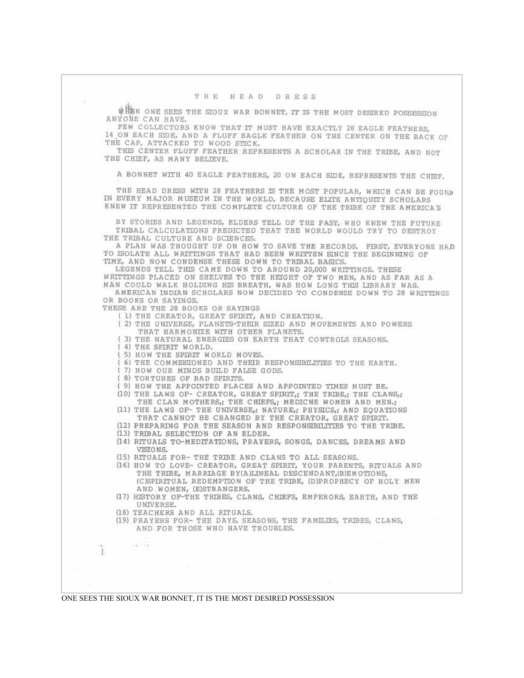WHEN ONE SEES THE SIOUX WAR BONNET, IT IS THE MOST DESIRED POSSESSION ANYONE CAN HAVE.

FEW COLLECTORS KNOW THAT IT MUST HAVE EXACTLY 28 EAGLE FEATHERS, 14 ON EACH SIDE, AND A FLUFF EAGLE FEATHER ON THE CENTER ON THE BACK OF THE CAP, ATTACKED TO WOOD STICK.

THIS CENTER FLUFF FEATHER REPRESENTS A SCHOLAR IN THE TRIBE, AND NOT THE CHIEF, AS MANY BELIEVE.

A BONNET WITH 40 EAGLE FEATHERS, 20 ON EACH SIDE, REPRESENTS THE CHIEF.

THE HEAD DRESS WITH 28 FEATHERS IS THE MOST POPULAR, WHICH CAN BE FOUND IN EVERY MAJOR MUSEUM IN THE WORLD, BECAUSE ELTTE ANTIOUTY SCHOLARS KNEW IT REPRESENTED THE COMPLETE CULTURE OF THE TRIBE OF THE AMERICA'S

BY STORIES AND LEGENDS, ELDERS TELL OF THE PAST, WHO KNEW THE FUTURE TRIBAL CALCULATIONS PREDICTED THAT THE WORLD WOULD TRY TO DESTROY THE TRIBAL CULTURE AND SCIENCES.

A PLAN WAS THOUGHT UP ON HOW TO SAVE THE RECORDS. FIRST, EVERYONE HAD TO ISOLATE ALL WRITTINGS THAT HAD BEEN WRITTEN SINCE THE BEGINNING OF TIME, AND NOW CONDENSE THESE DOWN TO TRIBAL BASICS.

LEGENDS TELL THIS CAME DOWN TO AROUND 20,000 WRITTINGS. THESE WRITTINGS PLACED ON SHELVES TO THE HEIGHT OF TWO MEN, AND AS FAR AS A MAN COULD WALK HOLDING HIS BREATH, WAS HOW LONG THIS LIBRARY WAS. AMERICAN INDIAN SCHOLARS NOW DECIDED TO CONDENSE DOWN TO 28 WRITTINGS

OR BOOKS OR SAYINGS. THESE ARE THE 28 BOOKS OR SAYINGS

- ( 1) THE CREATOR, GREAT SPIRIT, AND CREATION.
- (2) THE UNIVERSE, PLANETS-THEIR SIZED AND MOVEMENTS AND POWERS THAT HARMONIZE WITH OTHER PLANETS.
- (3) THE NATURAL ENERGIES ON EARTH THAT CONTROLS SEASONS.
- ( 4) THE SPIRIT WORLD.
- (5) HOW THE SPIRIT WORLD MOVES.
- (6) THE COMMISSIONED AND THEIR RESPONSIBILITIES TO THE EARTH.
- 7) HOW OUR MINDS BUILD FALSE GODS.
- ( 8) TORTURES OF BAD SPIRITS.
- ( 9) HOW THE APPOINTED PLACES AND APPOINTED TIMES MUST BE.
- (10) THE LAWS OF- CREATOR, GREAT SPIRIT,; THE TRIBE,; THE CLANS,; THE CLAN MOTHERS,; THE CHIEFS,; MEDICNE WOMEN AND MEN.;
- (11) THE LAWS OF- THE UNIVERSE,; NATURE,; PHYSICS,; AND EQUATIONS THAT CANNOT BE CHANGED BY THE CREATOR, GREAT SPIRIT.
- (12) PREPARING FOR THE SEASON AND RESPONSIBILITIES TO THE TRIBE.
- (13) TRIBAL SELECTION OF AN ELDER.
- (14) RITUALS TO-MEDITATIONS, PRAYERS, SONGS, DANCES, DREAMS AND VISIONS.
- (15) RITUALS FOR- THE TRIBE AND CLANS TO ALL SEASONS.

(16) HOW TO LOVE- CREATOR, GREAT SPIRTT, YOUR PARENTS, RITUALS AND THE TRIBE, MARRIAGE BY(A)LINEAL DESCENDANT, (B)EMOTIONS, (C)SPIRITUAL REDEMPTION OF THE TRIBE, (D)PROPHECY OF HOLY MEN AND WOMEN, (E)STRANGERS.

- (17) HISTORY OF-THE TRIBES, CLANS, CHIEFS, EMPERORS, EARTH, AND THE UNIVERSE.
- (18) TEACHERS AND ALL RITUALS.

 $\sim$ 

Ï.

(19) PRAYERS FOR- THE DAYS, SEASONS, THE FAMILIES, TRIBES, CLANS, AND FOR THOSE WHO HAVE TROUBLES.

ONE SEES THE SIOUX WAR BONNET, IT IS THE MOST DESIRED POSSESSION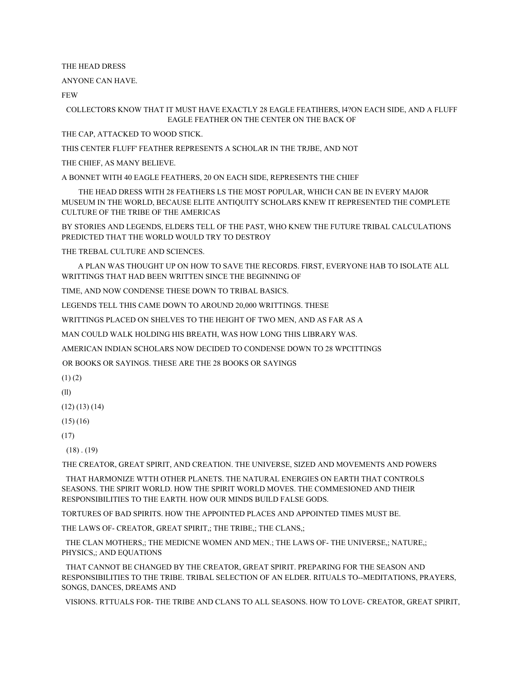THE HEAD DRESS

ANYONE CAN HAVE.

FEW **FEW** 

COLLECTORS KNOW THAT IT MUST HAVE EXACTLY 28 EAGLE FEATIHERS, l4?ON EACH SIDE, AND A FLUFF EAGLE FEATHER ON THE CENTER ON THE BACK OF

THE CAP, ATTACKED TO WOOD STICK.

THIS CENTER FLUFF' FEATHER REPRESENTS A SCHOLAR IN THE TRJBE, AND NOT

THE CHIEF, AS MANY BELIEVE.

A BONNET WITH 40 EAGLE FEATHERS, 20 ON EACH SIDE, REPRESENTS THE CHIEF

THE HEAD DRESS WITH 28 FEATHERS LS THE MOST POPULAR, WHICH CAN BE IN EVERY MAJOR MUSEUM IN THE WORLD, BECAUSE ELITE ANTIQUITY SCHOLARS KNEW IT REPRESENTED THE COMPLETE CULTURE OF THE TRIBE OF THE AMERICAS

BY STORIES AND LEGENDS, ELDERS TELL OF THE PAST, WHO KNEW THE FUTURE TRIBAL CALCULATIONS PREDICTED THAT THE WORLD WOULD TRY TO DESTROY

THE TREBAL CULTURE AND SCIENCES.

A PLAN WAS THOUGHT UP ON HOW TO SAVE THE RECORDS. FIRST, EVERYONE HAB TO ISOLATE ALL WRITTINGS THAT HAD BEEN WRITTEN SINCE THE BEGINNING OF

TIME, AND NOW CONDENSE THESE DOWN TO TRIBAL BASICS.

LEGENDS TELL THIS CAME DOWN TO AROUND 20,000 WRITTINGS. THESE

WRITTINGS PLACED ON SHELVES TO THE HEIGHT OF TWO MEN, AND AS FAR AS A

MAN COULD WALK HOLDING HIS BREATH, WAS HOW LONG THIS LIBRARY WAS.

AMERICAN INDIAN SCHOLARS NOW DECIDED TO CONDENSE DOWN TO 28 WPCITTINGS

OR BOOKS OR SAYINGS. THESE ARE THE 28 BOOKS OR SAYINGS

 $(1)$  $(2)$ 

(ll)

(12) (13) (14)

(15) (16)

(17)

 $(18)$ .  $(19)$ 

THE CREATOR, GREAT SPIRIT, AND CREATION. THE UNIVERSE, SIZED AND MOVEMENTS AND POWERS

THAT HARMONIZE WTTH OTHER PLANETS. THE NATURAL ENERGIES ON EARTH THAT CONTROLS SEASONS. THE SPIRIT WORLD. HOW THE SPIRIT WORLD MOVES. THE COMMESIONED AND THEIR RESPONSIBILITIES TO THE EARTH. HOW OUR MINDS BUILD FALSE GODS.

TORTURES OF BAD SPIRITS. HOW THE APPOINTED PLACES AND APPOINTED TIMES MUST BE.

THE LAWS OF- CREATOR, GREAT SPIRIT,; THE TRIBE,; THE CLANS,;

THE CLAN MOTHERS,; THE MEDICNE WOMEN AND MEN.; THE LAWS OF THE UNIVERSE,; NATURE,; PHYSICS,; AND EQUATIONS

THAT CANNOT BE CHANGED BY THE CREATOR, GREAT SPIRIT. PREPARING FOR THE SEASON AND RESPONSIBILITIES TO THE TRIBE. TRIBAL SELECTION OF AN ELDER. RITUALS TO--MEDITATIONS, PRAYERS, SONGS, DANCES, DREAMS AND

VISIONS. RTTUALS FOR THE TRIBE AND CLANS TO ALL SEASONS. HOW TO LOVE CREATOR, GREAT SPIRIT,